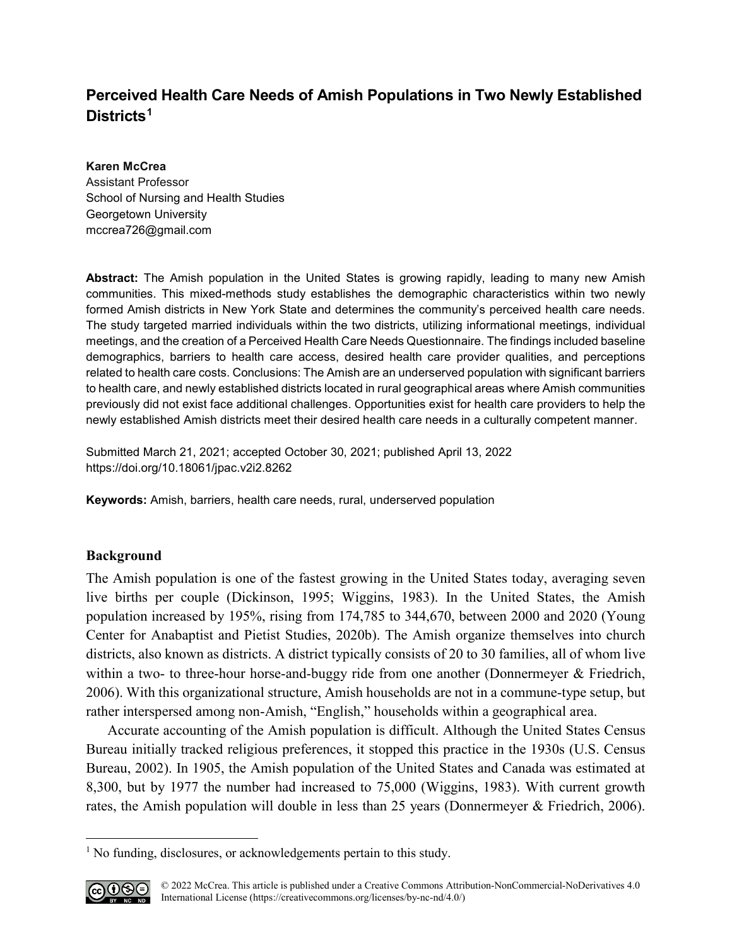# **Perceived Health Care Needs of Amish Populations in Two Newly Established Districts[1](#page-0-0)**

## **Karen McCrea**

Assistant Professor School of Nursing and Health Studies Georgetown University [mccrea726@gmail.com](mailto:mccrea726@gmail.com)

**Abstract:** The Amish population in the United States is growing rapidly, leading to many new Amish communities. This mixed-methods study establishes the demographic characteristics within two newly formed Amish districts in New York State and determines the community's perceived health care needs. The study targeted married individuals within the two districts, utilizing informational meetings, individual meetings, and the creation of a Perceived Health Care Needs Questionnaire. The findings included baseline demographics, barriers to health care access, desired health care provider qualities, and perceptions related to health care costs. Conclusions: The Amish are an underserved population with significant barriers to health care, and newly established districts located in rural geographical areas where Amish communities previously did not exist face additional challenges. Opportunities exist for health care providers to help the newly established Amish districts meet their desired health care needs in a culturally competent manner.

Submitted March 21, 2021; accepted October 30, 2021; published April 13, 2022 <https://doi.org/10.18061/jpac.v2i2.8262>

**Keywords:** Amish, barriers, health care needs, rural, underserved population

## **Background**

The Amish population is one of the fastest growing in the United States today, averaging seven live births per couple (Dickinson, 1995; Wiggins, 1983). In the United States, the Amish population increased by 195%, rising from 174,785 to 344,670, between 2000 and 2020 (Young Center for Anabaptist and Pietist Studies, 2020b). The Amish organize themselves into church districts, also known as districts. A district typically consists of 20 to 30 families, all of whom live within a two- to three-hour horse-and-buggy ride from one another (Donnermeyer & Friedrich, 2006). With this organizational structure, Amish households are not in a commune-type setup, but rather interspersed among non-Amish, "English," households within a geographical area.

Accurate accounting of the Amish population is difficult. Although the United States Census Bureau initially tracked religious preferences, it stopped this practice in the 1930s (U.S. Census Bureau, 2002). In 1905, the Amish population of the United States and Canada was estimated at 8,300, but by 1977 the number had increased to 75,000 (Wiggins, 1983). With current growth rates, the Amish population will double in less than 25 years (Donnermeyer & Friedrich, 2006).

<span id="page-0-0"></span><sup>&</sup>lt;sup>1</sup> No funding, disclosures, or acknowledgements pertain to this study.



l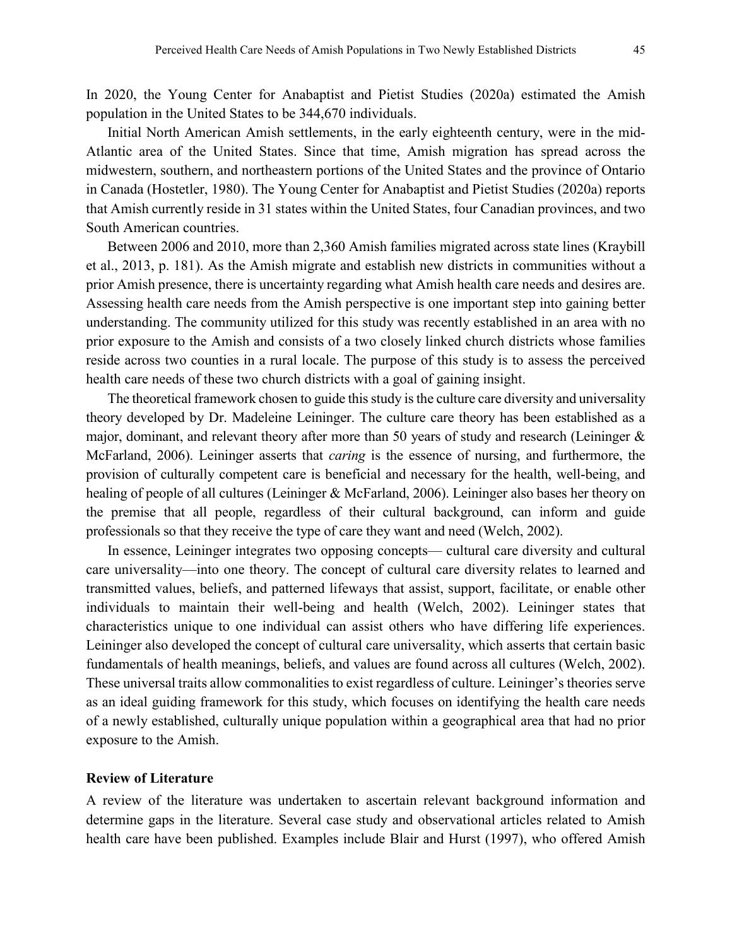In 2020, the Young Center for Anabaptist and Pietist Studies (2020a) estimated the Amish population in the United States to be 344,670 individuals.

Initial North American Amish settlements, in the early eighteenth century, were in the mid-Atlantic area of the United States. Since that time, Amish migration has spread across the midwestern, southern, and northeastern portions of the United States and the province of Ontario in Canada (Hostetler, 1980). The Young Center for Anabaptist and Pietist Studies (2020a) reports that Amish currently reside in 31 states within the United States, four Canadian provinces, and two South American countries.

Between 2006 and 2010, more than 2,360 Amish families migrated across state lines (Kraybill et al., 2013, p. 181). As the Amish migrate and establish new districts in communities without a prior Amish presence, there is uncertainty regarding what Amish health care needs and desires are. Assessing health care needs from the Amish perspective is one important step into gaining better understanding. The community utilized for this study was recently established in an area with no prior exposure to the Amish and consists of a two closely linked church districts whose families reside across two counties in a rural locale. The purpose of this study is to assess the perceived health care needs of these two church districts with a goal of gaining insight.

The theoretical framework chosen to guide this study is the culture care diversity and universality theory developed by Dr. Madeleine Leininger. The culture care theory has been established as a major, dominant, and relevant theory after more than 50 years of study and research (Leininger & McFarland, 2006). Leininger asserts that *caring* is the essence of nursing, and furthermore, the provision of culturally competent care is beneficial and necessary for the health, well-being, and healing of people of all cultures (Leininger & McFarland, 2006). Leininger also bases her theory on the premise that all people, regardless of their cultural background, can inform and guide professionals so that they receive the type of care they want and need (Welch, 2002).

In essence, Leininger integrates two opposing concepts— cultural care diversity and cultural care universality—into one theory. The concept of cultural care diversity relates to learned and transmitted values, beliefs, and patterned lifeways that assist, support, facilitate, or enable other individuals to maintain their well-being and health (Welch, 2002). Leininger states that characteristics unique to one individual can assist others who have differing life experiences. Leininger also developed the concept of cultural care universality, which asserts that certain basic fundamentals of health meanings, beliefs, and values are found across all cultures (Welch, 2002). These universal traits allow commonalities to exist regardless of culture. Leininger's theories serve as an ideal guiding framework for this study, which focuses on identifying the health care needs of a newly established, culturally unique population within a geographical area that had no prior exposure to the Amish.

## **Review of Literature**

A review of the literature was undertaken to ascertain relevant background information and determine gaps in the literature. Several case study and observational articles related to Amish health care have been published. Examples include Blair and Hurst (1997), who offered Amish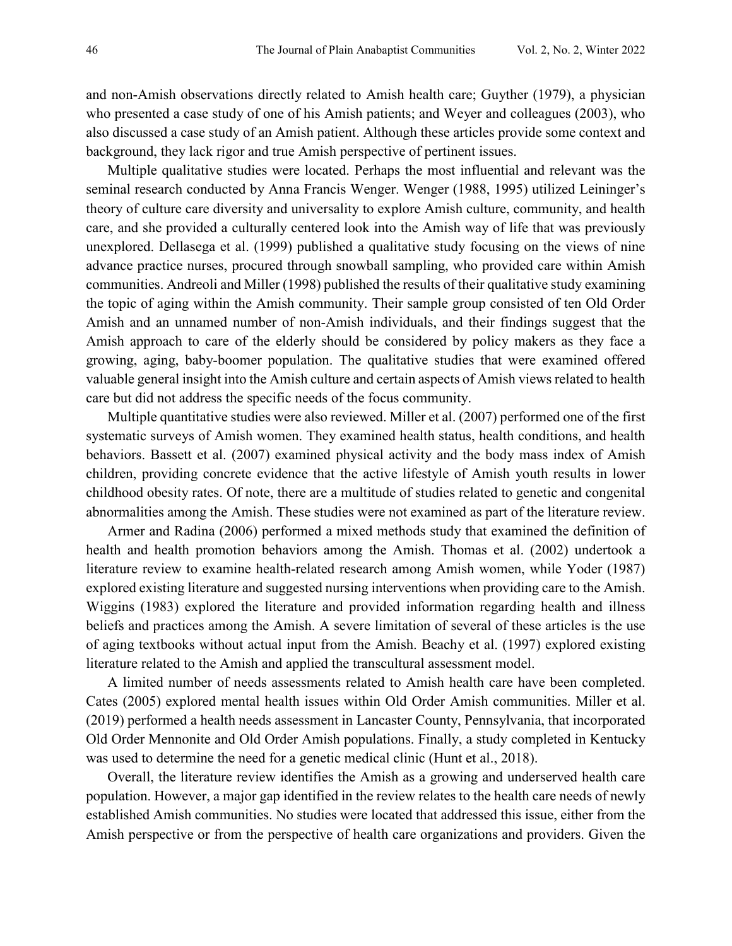and non-Amish observations directly related to Amish health care; Guyther (1979), a physician who presented a case study of one of his Amish patients; and Weyer and colleagues (2003), who also discussed a case study of an Amish patient. Although these articles provide some context and background, they lack rigor and true Amish perspective of pertinent issues.

Multiple qualitative studies were located. Perhaps the most influential and relevant was the seminal research conducted by Anna Francis Wenger. Wenger (1988, 1995) utilized Leininger's theory of culture care diversity and universality to explore Amish culture, community, and health care, and she provided a culturally centered look into the Amish way of life that was previously unexplored. Dellasega et al. (1999) published a qualitative study focusing on the views of nine advance practice nurses, procured through snowball sampling, who provided care within Amish communities. Andreoli and Miller (1998) published the results of their qualitative study examining the topic of aging within the Amish community. Their sample group consisted of ten Old Order Amish and an unnamed number of non-Amish individuals, and their findings suggest that the Amish approach to care of the elderly should be considered by policy makers as they face a growing, aging, baby-boomer population. The qualitative studies that were examined offered valuable general insight into the Amish culture and certain aspects of Amish views related to health care but did not address the specific needs of the focus community.

Multiple quantitative studies were also reviewed. Miller et al. (2007) performed one of the first systematic surveys of Amish women. They examined health status, health conditions, and health behaviors. Bassett et al. (2007) examined physical activity and the body mass index of Amish children, providing concrete evidence that the active lifestyle of Amish youth results in lower childhood obesity rates. Of note, there are a multitude of studies related to genetic and congenital abnormalities among the Amish. These studies were not examined as part of the literature review.

Armer and Radina (2006) performed a mixed methods study that examined the definition of health and health promotion behaviors among the Amish. Thomas et al. (2002) undertook a literature review to examine health-related research among Amish women, while Yoder (1987) explored existing literature and suggested nursing interventions when providing care to the Amish. Wiggins (1983) explored the literature and provided information regarding health and illness beliefs and practices among the Amish. A severe limitation of several of these articles is the use of aging textbooks without actual input from the Amish. Beachy et al. (1997) explored existing literature related to the Amish and applied the transcultural assessment model.

A limited number of needs assessments related to Amish health care have been completed. Cates (2005) explored mental health issues within Old Order Amish communities. Miller et al. (2019) performed a health needs assessment in Lancaster County, Pennsylvania, that incorporated Old Order Mennonite and Old Order Amish populations. Finally, a study completed in Kentucky was used to determine the need for a genetic medical clinic (Hunt et al., 2018).

Overall, the literature review identifies the Amish as a growing and underserved health care population. However, a major gap identified in the review relates to the health care needs of newly established Amish communities. No studies were located that addressed this issue, either from the Amish perspective or from the perspective of health care organizations and providers. Given the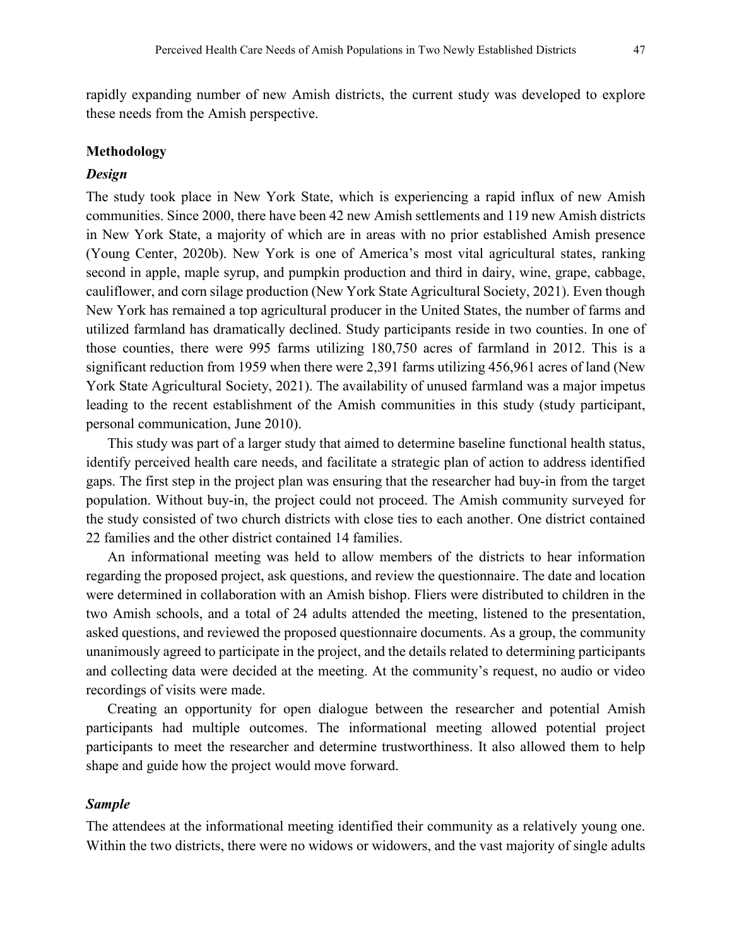rapidly expanding number of new Amish districts, the current study was developed to explore these needs from the Amish perspective.

#### **Methodology**

## *Design*

The study took place in New York State, which is experiencing a rapid influx of new Amish communities. Since 2000, there have been 42 new Amish settlements and 119 new Amish districts in New York State, a majority of which are in areas with no prior established Amish presence (Young Center, 2020b). New York is one of America's most vital agricultural states, ranking second in apple, maple syrup, and pumpkin production and third in dairy, wine, grape, cabbage, cauliflower, and corn silage production (New York State Agricultural Society, 2021). Even though New York has remained a top agricultural producer in the United States, the number of farms and utilized farmland has dramatically declined. Study participants reside in two counties. In one of those counties, there were 995 farms utilizing 180,750 acres of farmland in 2012. This is a significant reduction from 1959 when there were 2,391 farms utilizing 456,961 acres of land (New York State Agricultural Society, 2021). The availability of unused farmland was a major impetus leading to the recent establishment of the Amish communities in this study (study participant, personal communication, June 2010).

This study was part of a larger study that aimed to determine baseline functional health status, identify perceived health care needs, and facilitate a strategic plan of action to address identified gaps. The first step in the project plan was ensuring that the researcher had buy-in from the target population. Without buy-in, the project could not proceed. The Amish community surveyed for the study consisted of two church districts with close ties to each another. One district contained 22 families and the other district contained 14 families.

An informational meeting was held to allow members of the districts to hear information regarding the proposed project, ask questions, and review the questionnaire. The date and location were determined in collaboration with an Amish bishop. Fliers were distributed to children in the two Amish schools, and a total of 24 adults attended the meeting, listened to the presentation, asked questions, and reviewed the proposed questionnaire documents. As a group, the community unanimously agreed to participate in the project, and the details related to determining participants and collecting data were decided at the meeting. At the community's request, no audio or video recordings of visits were made.

Creating an opportunity for open dialogue between the researcher and potential Amish participants had multiple outcomes. The informational meeting allowed potential project participants to meet the researcher and determine trustworthiness. It also allowed them to help shape and guide how the project would move forward.

#### *Sample*

The attendees at the informational meeting identified their community as a relatively young one. Within the two districts, there were no widows or widowers, and the vast majority of single adults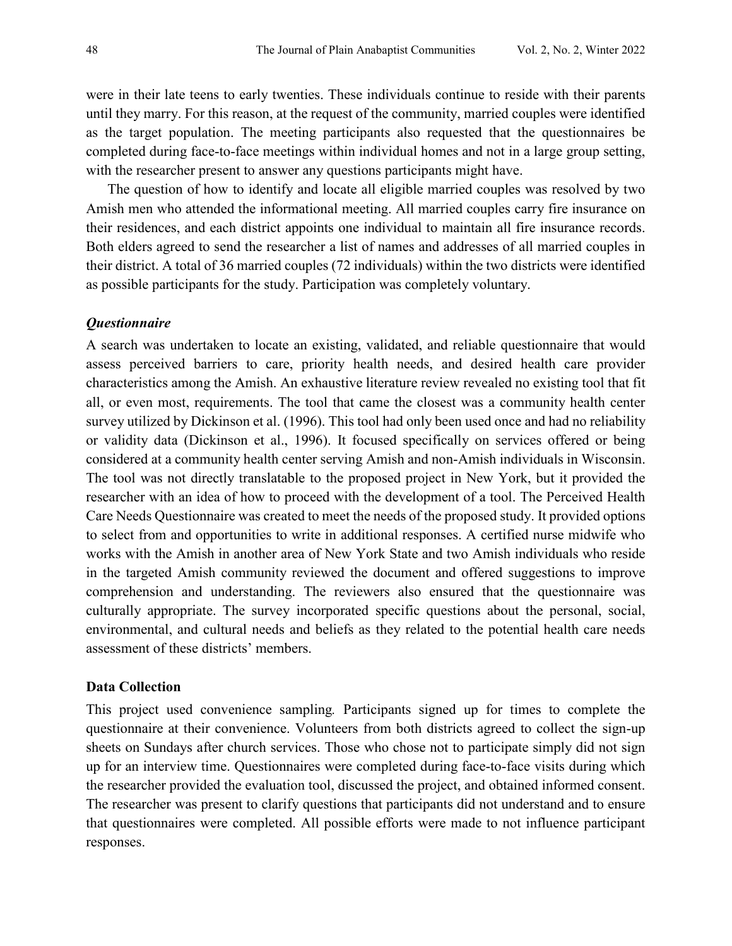were in their late teens to early twenties. These individuals continue to reside with their parents until they marry. For this reason, at the request of the community, married couples were identified as the target population. The meeting participants also requested that the questionnaires be completed during face-to-face meetings within individual homes and not in a large group setting, with the researcher present to answer any questions participants might have.

The question of how to identify and locate all eligible married couples was resolved by two Amish men who attended the informational meeting. All married couples carry fire insurance on their residences, and each district appoints one individual to maintain all fire insurance records. Both elders agreed to send the researcher a list of names and addresses of all married couples in their district. A total of 36 married couples (72 individuals) within the two districts were identified as possible participants for the study. Participation was completely voluntary.

## *Questionnaire*

A search was undertaken to locate an existing, validated, and reliable questionnaire that would assess perceived barriers to care, priority health needs, and desired health care provider characteristics among the Amish. An exhaustive literature review revealed no existing tool that fit all, or even most, requirements. The tool that came the closest was a community health center survey utilized by Dickinson et al. (1996). This tool had only been used once and had no reliability or validity data (Dickinson et al., 1996). It focused specifically on services offered or being considered at a community health center serving Amish and non-Amish individuals in Wisconsin. The tool was not directly translatable to the proposed project in New York, but it provided the researcher with an idea of how to proceed with the development of a tool. The Perceived Health Care Needs Questionnaire was created to meet the needs of the proposed study. It provided options to select from and opportunities to write in additional responses. A certified nurse midwife who works with the Amish in another area of New York State and two Amish individuals who reside in the targeted Amish community reviewed the document and offered suggestions to improve comprehension and understanding. The reviewers also ensured that the questionnaire was culturally appropriate. The survey incorporated specific questions about the personal, social, environmental, and cultural needs and beliefs as they related to the potential health care needs assessment of these districts' members.

## **Data Collection**

This project used convenience sampling*.* Participants signed up for times to complete the questionnaire at their convenience. Volunteers from both districts agreed to collect the sign-up sheets on Sundays after church services. Those who chose not to participate simply did not sign up for an interview time. Questionnaires were completed during face-to-face visits during which the researcher provided the evaluation tool, discussed the project, and obtained informed consent. The researcher was present to clarify questions that participants did not understand and to ensure that questionnaires were completed. All possible efforts were made to not influence participant responses.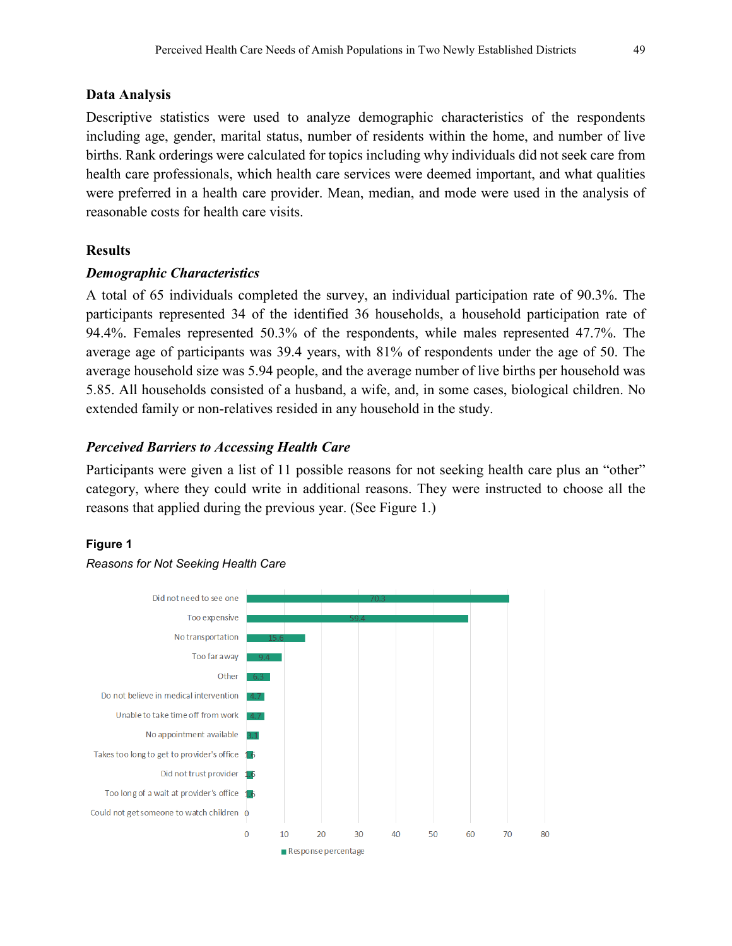#### **Data Analysis**

Descriptive statistics were used to analyze demographic characteristics of the respondents including age, gender, marital status, number of residents within the home, and number of live births. Rank orderings were calculated for topics including why individuals did not seek care from health care professionals, which health care services were deemed important, and what qualities were preferred in a health care provider. Mean, median, and mode were used in the analysis of reasonable costs for health care visits.

## **Results**

## *Demographic Characteristics*

A total of 65 individuals completed the survey, an individual participation rate of 90.3%. The participants represented 34 of the identified 36 households, a household participation rate of 94.4%. Females represented 50.3% of the respondents, while males represented 47.7%. The average age of participants was 39.4 years, with 81% of respondents under the age of 50. The average household size was 5.94 people, and the average number of live births per household was 5.85. All households consisted of a husband, a wife, and, in some cases, biological children. No extended family or non-relatives resided in any household in the study.

## *Perceived Barriers to Accessing Health Care*

Participants were given a list of 11 possible reasons for not seeking health care plus an "other" category, where they could write in additional reasons. They were instructed to choose all the reasons that applied during the previous year. (See Figure 1.)

#### **Figure 1**



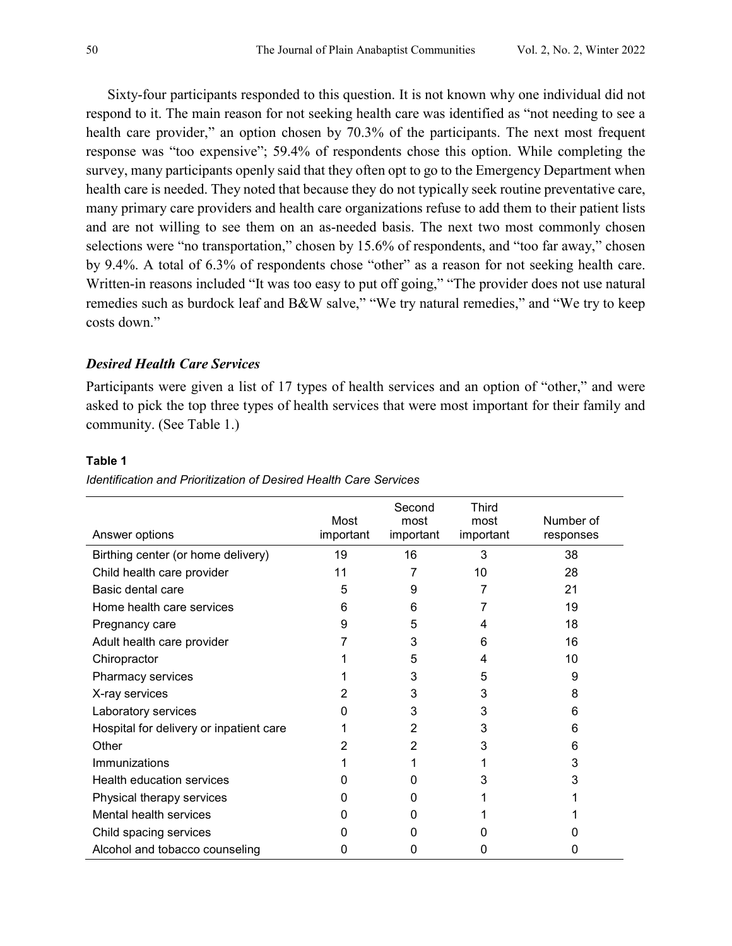Sixty-four participants responded to this question. It is not known why one individual did not respond to it. The main reason for not seeking health care was identified as "not needing to see a health care provider," an option chosen by 70.3% of the participants. The next most frequent response was "too expensive"; 59.4% of respondents chose this option. While completing the survey, many participants openly said that they often opt to go to the Emergency Department when health care is needed. They noted that because they do not typically seek routine preventative care, many primary care providers and health care organizations refuse to add them to their patient lists and are not willing to see them on an as-needed basis. The next two most commonly chosen selections were "no transportation," chosen by 15.6% of respondents, and "too far away," chosen by 9.4%. A total of 6.3% of respondents chose "other" as a reason for not seeking health care. Written-in reasons included "It was too easy to put off going," "The provider does not use natural remedies such as burdock leaf and B&W salve," "We try natural remedies," and "We try to keep costs down."

## *Desired Health Care Services*

Participants were given a list of 17 types of health services and an option of "other," and were asked to pick the top three types of health services that were most important for their family and community. (See Table 1.)

#### **Table 1**

| Answer options                          | Most<br>important | Second<br>most<br>important | Third<br>most<br>important | Number of<br>responses |
|-----------------------------------------|-------------------|-----------------------------|----------------------------|------------------------|
| Birthing center (or home delivery)      | 19                | 16                          | 3                          | 38                     |
| Child health care provider              | 11                | 7                           | 10                         | 28                     |
| Basic dental care                       | 5                 | 9                           |                            | 21                     |
| Home health care services               | 6                 | 6                           |                            | 19                     |
| Pregnancy care                          | 9                 | 5                           | 4                          | 18                     |
| Adult health care provider              |                   | 3                           | 6                          | 16                     |
| Chiropractor                            |                   | 5                           | 4                          | 10                     |
| Pharmacy services                       |                   | 3                           | 5                          | 9                      |
| X-ray services                          |                   | 3                           | 3                          | 8                      |
| Laboratory services                     |                   | 3                           | 3                          | 6                      |
| Hospital for delivery or inpatient care |                   | 2                           | 3                          | 6                      |
| Other                                   |                   | 2                           | 3                          | 6                      |
| Immunizations                           |                   |                             |                            | 3                      |
| <b>Health education services</b>        |                   | O                           | 3                          | 3                      |
| Physical therapy services               | O                 | O                           |                            |                        |
| Mental health services                  |                   | O                           |                            |                        |
| Child spacing services                  |                   |                             |                            |                        |
| Alcohol and tobacco counseling          | O                 | O                           | 0                          | O                      |

*Identification and Prioritization of Desired Health Care Services*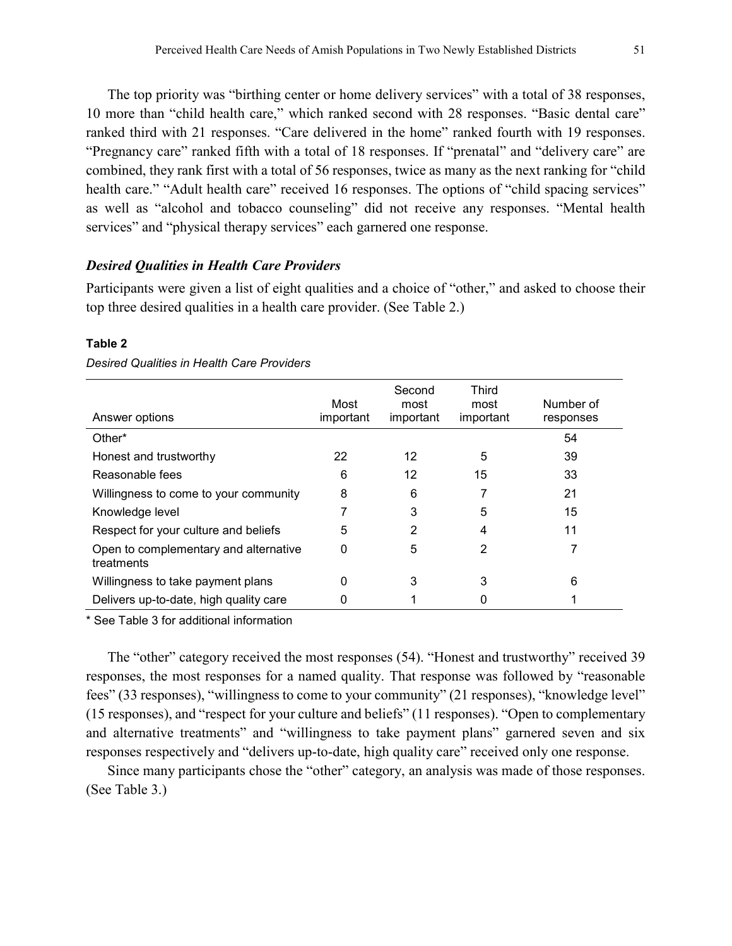The top priority was "birthing center or home delivery services" with a total of 38 responses, 10 more than "child health care," which ranked second with 28 responses. "Basic dental care" ranked third with 21 responses. "Care delivered in the home" ranked fourth with 19 responses. "Pregnancy care" ranked fifth with a total of 18 responses. If "prenatal" and "delivery care" are combined, they rank first with a total of 56 responses, twice as many as the next ranking for "child health care." "Adult health care" received 16 responses. The options of "child spacing services" as well as "alcohol and tobacco counseling" did not receive any responses. "Mental health services" and "physical therapy services" each garnered one response.

## *Desired Qualities in Health Care Providers*

Participants were given a list of eight qualities and a choice of "other," and asked to choose their top three desired qualities in a health care provider. (See Table 2.)

| Answer options                                      | Most<br>important | Second<br>most<br>important | <b>Third</b><br>most<br>important | Number of<br>responses |
|-----------------------------------------------------|-------------------|-----------------------------|-----------------------------------|------------------------|
| Other*                                              |                   |                             |                                   | 54                     |
| Honest and trustworthy                              | 22                | 12                          | 5                                 | 39                     |
| Reasonable fees                                     | 6                 | 12                          | 15                                | 33                     |
| Willingness to come to your community               | 8                 | 6                           |                                   | 21                     |
| Knowledge level                                     |                   | 3                           | 5                                 | 15                     |
| Respect for your culture and beliefs                | 5                 | 2                           | 4                                 | 11                     |
| Open to complementary and alternative<br>treatments | 0                 | 5                           | 2                                 |                        |
| Willingness to take payment plans                   | 0                 | 3                           | 3                                 | 6                      |
| Delivers up-to-date, high quality care              | 0                 |                             |                                   |                        |

#### **Table 2**

#### *Desired Qualities in Health Care Providers*

\* See Table 3 for additional information

The "other" category received the most responses (54). "Honest and trustworthy" received 39 responses, the most responses for a named quality. That response was followed by "reasonable fees" (33 responses), "willingness to come to your community" (21 responses), "knowledge level" (15 responses), and "respect for your culture and beliefs" (11 responses). "Open to complementary and alternative treatments" and "willingness to take payment plans" garnered seven and six responses respectively and "delivers up-to-date, high quality care" received only one response.

Since many participants chose the "other" category, an analysis was made of those responses. (See Table 3.)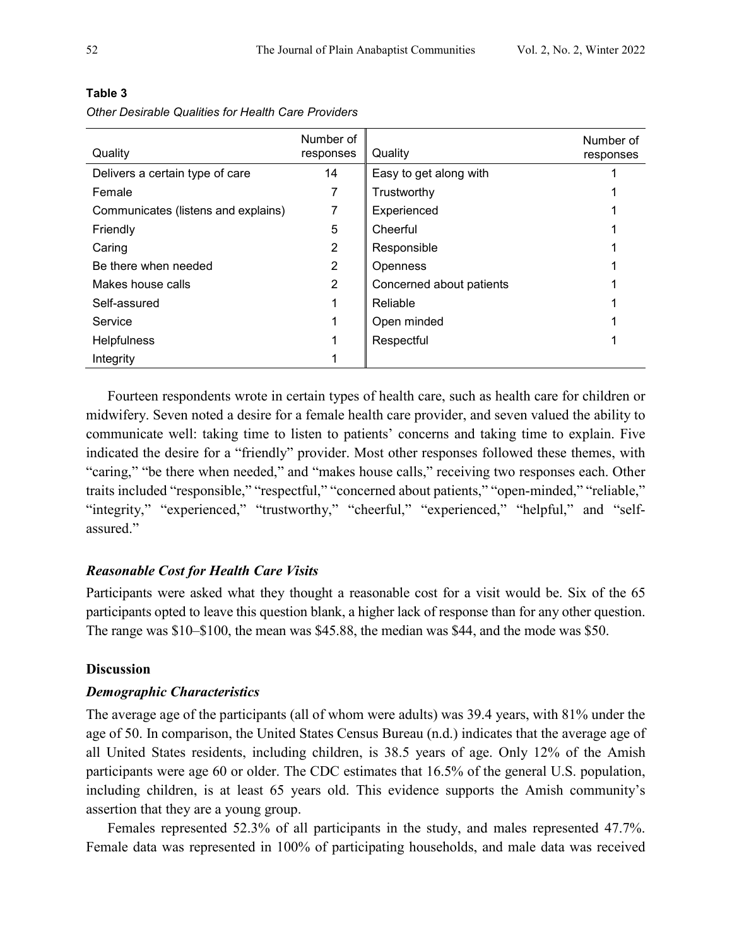| Quality                             | Number of<br>responses | Quality                  | Number of<br>responses |
|-------------------------------------|------------------------|--------------------------|------------------------|
| Delivers a certain type of care     | 14                     | Easy to get along with   |                        |
| Female                              |                        | Trustworthy              |                        |
| Communicates (listens and explains) |                        | Experienced              |                        |
| Friendly                            | 5                      | Cheerful                 |                        |
| Caring                              | 2                      | Responsible              |                        |
| Be there when needed                | 2                      | <b>Openness</b>          |                        |
| Makes house calls                   | 2                      | Concerned about patients |                        |
| Self-assured                        |                        | Reliable                 |                        |
| Service                             |                        | Open minded              |                        |
| <b>Helpfulness</b>                  |                        | Respectful               |                        |
| Integrity                           |                        |                          |                        |

**Table 3** *Other Desirable Qualities for Health Care Providers*

Fourteen respondents wrote in certain types of health care, such as health care for children or midwifery. Seven noted a desire for a female health care provider, and seven valued the ability to communicate well: taking time to listen to patients' concerns and taking time to explain. Five indicated the desire for a "friendly" provider. Most other responses followed these themes, with "caring," "be there when needed," and "makes house calls," receiving two responses each. Other traits included "responsible," "respectful," "concerned about patients," "open-minded," "reliable," "integrity," "experienced," "trustworthy," "cheerful," "experienced," "helpful," and "selfassured."

## *Reasonable Cost for Health Care Visits*

Participants were asked what they thought a reasonable cost for a visit would be. Six of the 65 participants opted to leave this question blank, a higher lack of response than for any other question. The range was \$10–\$100, the mean was \$45.88, the median was \$44, and the mode was \$50.

## **Discussion**

## *Demographic Characteristics*

The average age of the participants (all of whom were adults) was 39.4 years, with 81% under the age of 50. In comparison, the United States Census Bureau (n.d.) indicates that the average age of all United States residents, including children, is 38.5 years of age. Only 12% of the Amish participants were age 60 or older. The CDC estimates that 16.5% of the general U.S. population, including children, is at least 65 years old. This evidence supports the Amish community's assertion that they are a young group.

Females represented 52.3% of all participants in the study, and males represented 47.7%. Female data was represented in 100% of participating households, and male data was received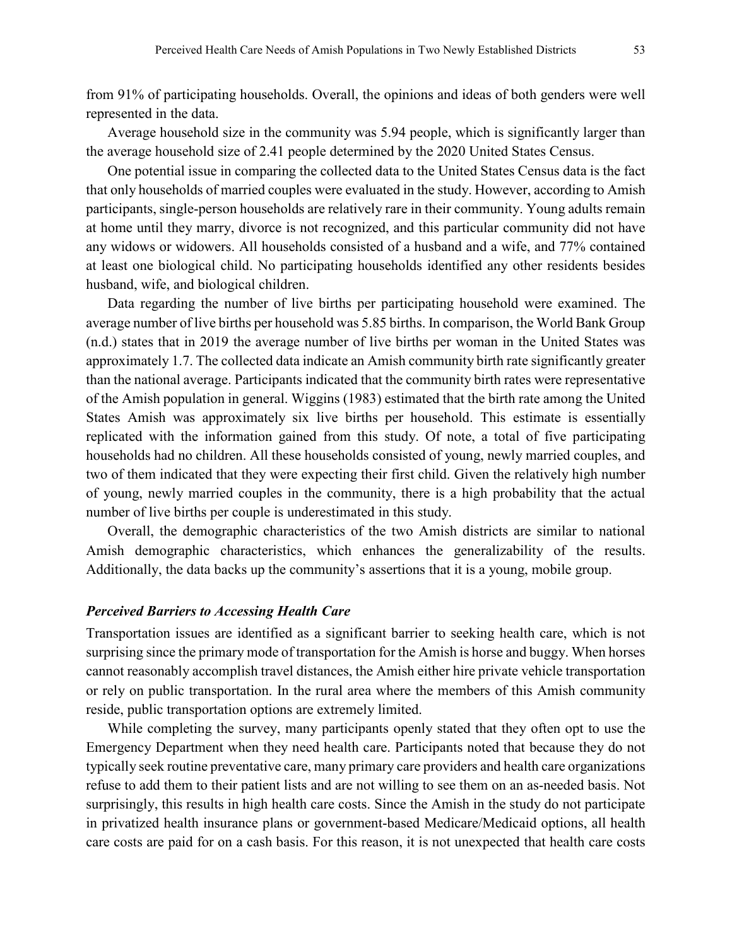from 91% of participating households. Overall, the opinions and ideas of both genders were well represented in the data.

Average household size in the community was 5.94 people, which is significantly larger than the average household size of 2.41 people determined by the 2020 United States Census.

One potential issue in comparing the collected data to the United States Census data is the fact that only households of married couples were evaluated in the study. However, according to Amish participants, single-person households are relatively rare in their community. Young adults remain at home until they marry, divorce is not recognized, and this particular community did not have any widows or widowers. All households consisted of a husband and a wife, and 77% contained at least one biological child. No participating households identified any other residents besides husband, wife, and biological children.

Data regarding the number of live births per participating household were examined. The average number of live births per household was 5.85 births. In comparison, the World Bank Group (n.d.) states that in 2019 the average number of live births per woman in the United States was approximately 1.7. The collected data indicate an Amish community birth rate significantly greater than the national average. Participants indicated that the community birth rates were representative of the Amish population in general. Wiggins (1983) estimated that the birth rate among the United States Amish was approximately six live births per household. This estimate is essentially replicated with the information gained from this study. Of note, a total of five participating households had no children. All these households consisted of young, newly married couples, and two of them indicated that they were expecting their first child. Given the relatively high number of young, newly married couples in the community, there is a high probability that the actual number of live births per couple is underestimated in this study.

Overall, the demographic characteristics of the two Amish districts are similar to national Amish demographic characteristics, which enhances the generalizability of the results. Additionally, the data backs up the community's assertions that it is a young, mobile group.

#### *Perceived Barriers to Accessing Health Care*

Transportation issues are identified as a significant barrier to seeking health care, which is not surprising since the primary mode of transportation for the Amish is horse and buggy. When horses cannot reasonably accomplish travel distances, the Amish either hire private vehicle transportation or rely on public transportation. In the rural area where the members of this Amish community reside, public transportation options are extremely limited.

While completing the survey, many participants openly stated that they often opt to use the Emergency Department when they need health care. Participants noted that because they do not typically seek routine preventative care, many primary care providers and health care organizations refuse to add them to their patient lists and are not willing to see them on an as-needed basis. Not surprisingly, this results in high health care costs. Since the Amish in the study do not participate in privatized health insurance plans or government-based Medicare/Medicaid options, all health care costs are paid for on a cash basis. For this reason, it is not unexpected that health care costs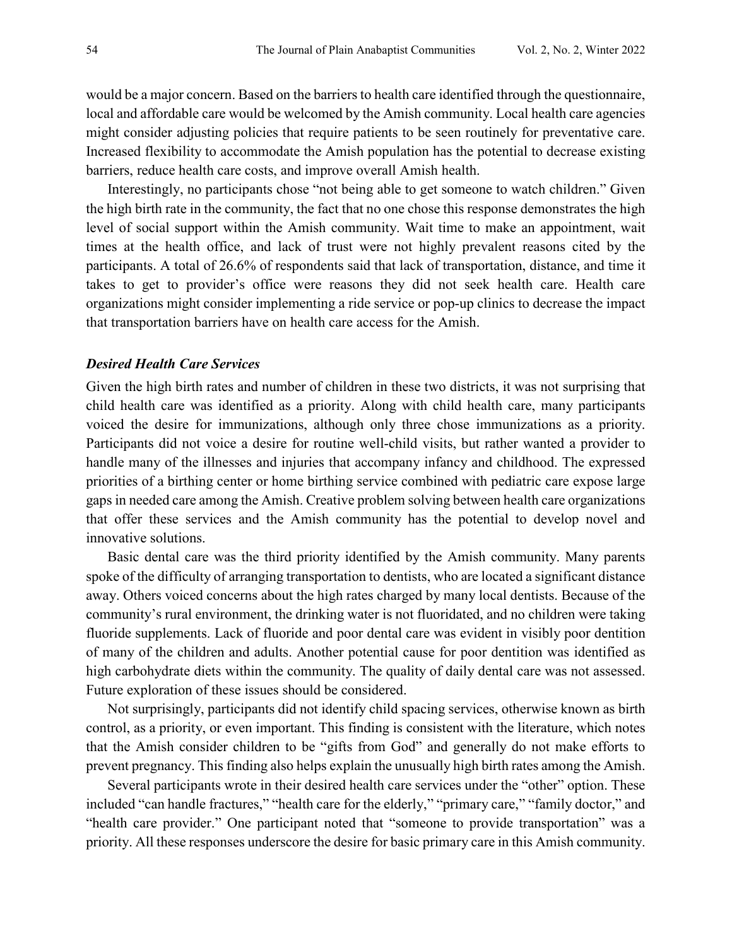would be a major concern. Based on the barriers to health care identified through the questionnaire, local and affordable care would be welcomed by the Amish community. Local health care agencies might consider adjusting policies that require patients to be seen routinely for preventative care. Increased flexibility to accommodate the Amish population has the potential to decrease existing barriers, reduce health care costs, and improve overall Amish health.

Interestingly, no participants chose "not being able to get someone to watch children." Given the high birth rate in the community, the fact that no one chose this response demonstrates the high level of social support within the Amish community. Wait time to make an appointment, wait times at the health office, and lack of trust were not highly prevalent reasons cited by the participants. A total of 26.6% of respondents said that lack of transportation, distance, and time it takes to get to provider's office were reasons they did not seek health care. Health care organizations might consider implementing a ride service or pop-up clinics to decrease the impact that transportation barriers have on health care access for the Amish.

## *Desired Health Care Services*

Given the high birth rates and number of children in these two districts, it was not surprising that child health care was identified as a priority. Along with child health care, many participants voiced the desire for immunizations, although only three chose immunizations as a priority. Participants did not voice a desire for routine well-child visits, but rather wanted a provider to handle many of the illnesses and injuries that accompany infancy and childhood. The expressed priorities of a birthing center or home birthing service combined with pediatric care expose large gaps in needed care among the Amish. Creative problem solving between health care organizations that offer these services and the Amish community has the potential to develop novel and innovative solutions.

Basic dental care was the third priority identified by the Amish community. Many parents spoke of the difficulty of arranging transportation to dentists, who are located a significant distance away. Others voiced concerns about the high rates charged by many local dentists. Because of the community's rural environment, the drinking water is not fluoridated, and no children were taking fluoride supplements. Lack of fluoride and poor dental care was evident in visibly poor dentition of many of the children and adults. Another potential cause for poor dentition was identified as high carbohydrate diets within the community. The quality of daily dental care was not assessed. Future exploration of these issues should be considered.

Not surprisingly, participants did not identify child spacing services, otherwise known as birth control, as a priority, or even important. This finding is consistent with the literature, which notes that the Amish consider children to be "gifts from God" and generally do not make efforts to prevent pregnancy. This finding also helps explain the unusually high birth rates among the Amish.

Several participants wrote in their desired health care services under the "other" option. These included "can handle fractures," "health care for the elderly," "primary care," "family doctor," and "health care provider." One participant noted that "someone to provide transportation" was a priority. All these responses underscore the desire for basic primary care in this Amish community.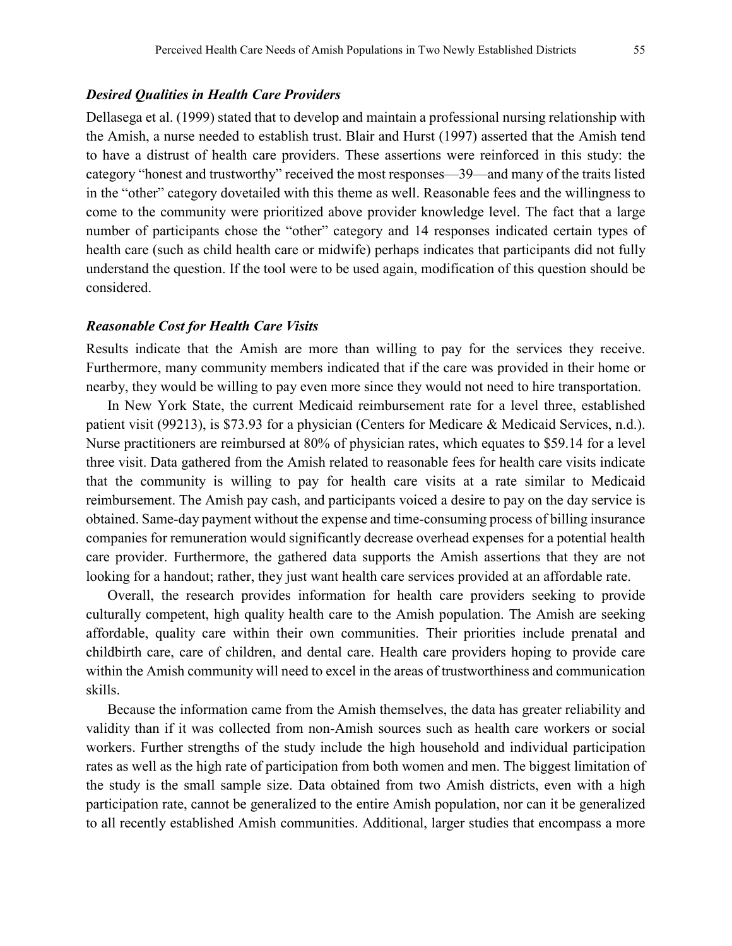## *Desired Qualities in Health Care Providers*

Dellasega et al. (1999) stated that to develop and maintain a professional nursing relationship with the Amish, a nurse needed to establish trust. Blair and Hurst (1997) asserted that the Amish tend to have a distrust of health care providers. These assertions were reinforced in this study: the category "honest and trustworthy" received the most responses—39—and many of the traits listed in the "other" category dovetailed with this theme as well. Reasonable fees and the willingness to come to the community were prioritized above provider knowledge level. The fact that a large number of participants chose the "other" category and 14 responses indicated certain types of health care (such as child health care or midwife) perhaps indicates that participants did not fully understand the question. If the tool were to be used again, modification of this question should be considered.

#### *Reasonable Cost for Health Care Visits*

Results indicate that the Amish are more than willing to pay for the services they receive. Furthermore, many community members indicated that if the care was provided in their home or nearby, they would be willing to pay even more since they would not need to hire transportation.

In New York State, the current Medicaid reimbursement rate for a level three, established patient visit (99213), is \$73.93 for a physician (Centers for Medicare & Medicaid Services, n.d.). Nurse practitioners are reimbursed at 80% of physician rates, which equates to \$59.14 for a level three visit. Data gathered from the Amish related to reasonable fees for health care visits indicate that the community is willing to pay for health care visits at a rate similar to Medicaid reimbursement. The Amish pay cash, and participants voiced a desire to pay on the day service is obtained. Same-day payment without the expense and time-consuming process of billing insurance companies for remuneration would significantly decrease overhead expenses for a potential health care provider. Furthermore, the gathered data supports the Amish assertions that they are not looking for a handout; rather, they just want health care services provided at an affordable rate.

Overall, the research provides information for health care providers seeking to provide culturally competent, high quality health care to the Amish population. The Amish are seeking affordable, quality care within their own communities. Their priorities include prenatal and childbirth care, care of children, and dental care. Health care providers hoping to provide care within the Amish community will need to excel in the areas of trustworthiness and communication skills.

Because the information came from the Amish themselves, the data has greater reliability and validity than if it was collected from non-Amish sources such as health care workers or social workers. Further strengths of the study include the high household and individual participation rates as well as the high rate of participation from both women and men. The biggest limitation of the study is the small sample size. Data obtained from two Amish districts, even with a high participation rate, cannot be generalized to the entire Amish population, nor can it be generalized to all recently established Amish communities. Additional, larger studies that encompass a more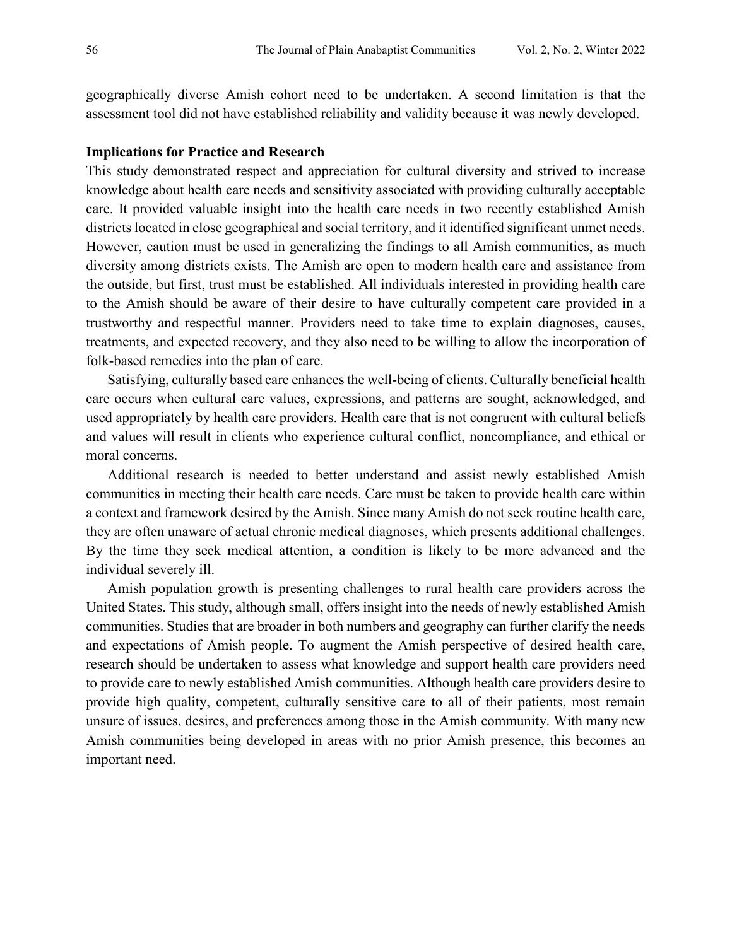geographically diverse Amish cohort need to be undertaken. A second limitation is that the assessment tool did not have established reliability and validity because it was newly developed.

#### **Implications for Practice and Research**

This study demonstrated respect and appreciation for cultural diversity and strived to increase knowledge about health care needs and sensitivity associated with providing culturally acceptable care. It provided valuable insight into the health care needs in two recently established Amish districts located in close geographical and social territory, and it identified significant unmet needs. However, caution must be used in generalizing the findings to all Amish communities, as much diversity among districts exists. The Amish are open to modern health care and assistance from the outside, but first, trust must be established. All individuals interested in providing health care to the Amish should be aware of their desire to have culturally competent care provided in a trustworthy and respectful manner. Providers need to take time to explain diagnoses, causes, treatments, and expected recovery, and they also need to be willing to allow the incorporation of folk-based remedies into the plan of care.

Satisfying, culturally based care enhances the well-being of clients. Culturally beneficial health care occurs when cultural care values, expressions, and patterns are sought, acknowledged, and used appropriately by health care providers. Health care that is not congruent with cultural beliefs and values will result in clients who experience cultural conflict, noncompliance, and ethical or moral concerns.

Additional research is needed to better understand and assist newly established Amish communities in meeting their health care needs. Care must be taken to provide health care within a context and framework desired by the Amish. Since many Amish do not seek routine health care, they are often unaware of actual chronic medical diagnoses, which presents additional challenges. By the time they seek medical attention, a condition is likely to be more advanced and the individual severely ill.

Amish population growth is presenting challenges to rural health care providers across the United States. This study, although small, offers insight into the needs of newly established Amish communities. Studies that are broader in both numbers and geography can further clarify the needs and expectations of Amish people. To augment the Amish perspective of desired health care, research should be undertaken to assess what knowledge and support health care providers need to provide care to newly established Amish communities. Although health care providers desire to provide high quality, competent, culturally sensitive care to all of their patients, most remain unsure of issues, desires, and preferences among those in the Amish community. With many new Amish communities being developed in areas with no prior Amish presence, this becomes an important need.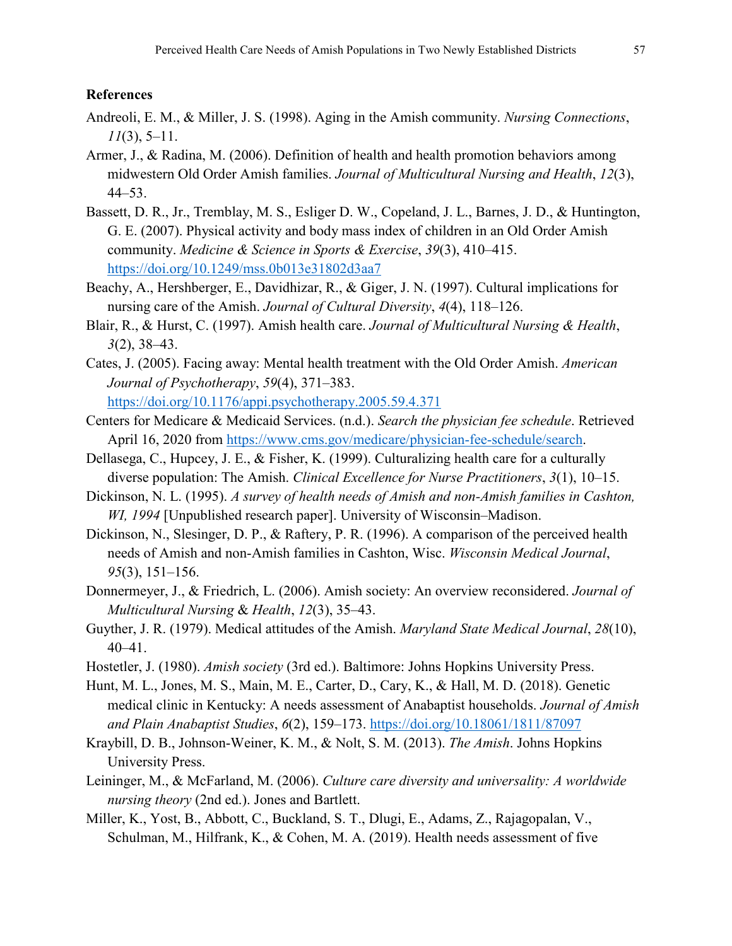## **References**

- Andreoli, E. M., & Miller, J. S. (1998). Aging in the Amish community. *Nursing Connections*, *11*(3), 5–11.
- Armer, J., & Radina, M. (2006). Definition of health and health promotion behaviors among midwestern Old Order Amish families. *Journal of Multicultural Nursing and Health*, *12*(3), 44–53.
- Bassett, D. R., Jr., Tremblay, M. S., Esliger D. W., Copeland, J. L., Barnes, J. D., & Huntington, G. E. (2007). Physical activity and body mass index of children in an Old Order Amish community. *Medicine & Science in Sports & Exercise*, *39*(3), 410–415. <https://doi.org/10.1249/mss.0b013e31802d3aa7>
- Beachy, A., Hershberger, E., Davidhizar, R., & Giger, J. N. (1997). Cultural implications for nursing care of the Amish. *Journal of Cultural Diversity*, *4*(4), 118–126.
- Blair, R., & Hurst, C. (1997). Amish health care. *Journal of Multicultural Nursing & Health*, *3*(2), 38–43.
- Cates, J. (2005). Facing away: Mental health treatment with the Old Order Amish. *American Journal of Psychotherapy*, *59*(4), 371–383. <https://doi.org/10.1176/appi.psychotherapy.2005.59.4.371>
- Centers for Medicare & Medicaid Services. (n.d.). *Search the physician fee schedule*. Retrieved April 16, 2020 from [https://www.cms.gov/medicare/physician-fee-schedule/search.](https://www.cms.gov/medicare/physician-fee-schedule/search)
- Dellasega, C., Hupcey, J. E., & Fisher, K. (1999). Culturalizing health care for a culturally diverse population: The Amish. *Clinical Excellence for Nurse Practitioners*, *3*(1), 10–15.
- Dickinson, N. L. (1995). *A survey of health needs of Amish and non-Amish families in Cashton, WI, 1994* [Unpublished research paper]. University of Wisconsin–Madison.
- Dickinson, N., Slesinger, D. P., & Raftery, P. R. (1996). A comparison of the perceived health needs of Amish and non-Amish families in Cashton, Wisc. *Wisconsin Medical Journal*, *95*(3), 151–156.
- Donnermeyer, J., & Friedrich, L. (2006). Amish society: An overview reconsidered. *Journal of Multicultural Nursing* & *Health*, *12*(3), 35–43.
- Guyther, J. R. (1979). Medical attitudes of the Amish. *Maryland State Medical Journal*, *28*(10), 40–41.
- Hostetler, J. (1980). *Amish society* (3rd ed.). Baltimore: Johns Hopkins University Press.
- Hunt, M. L., Jones, M. S., Main, M. E., Carter, D., Cary, K., & Hall, M. D. (2018). Genetic medical clinic in Kentucky: A needs assessment of Anabaptist households. *Journal of Amish and Plain Anabaptist Studies*, *6*(2), 159–173. <https://doi.org/10.18061/1811/87097>
- Kraybill, D. B., Johnson-Weiner, K. M., & Nolt, S. M. (2013). *The Amish*. Johns Hopkins University Press.
- Leininger, M., & McFarland, M. (2006). *Culture care diversity and universality: A worldwide nursing theory* (2nd ed.). Jones and Bartlett.
- Miller, K., Yost, B., Abbott, C., Buckland, S. T., Dlugi, E., Adams, Z., Rajagopalan, V., Schulman, M., Hilfrank, K., & Cohen, M. A. (2019). Health needs assessment of five